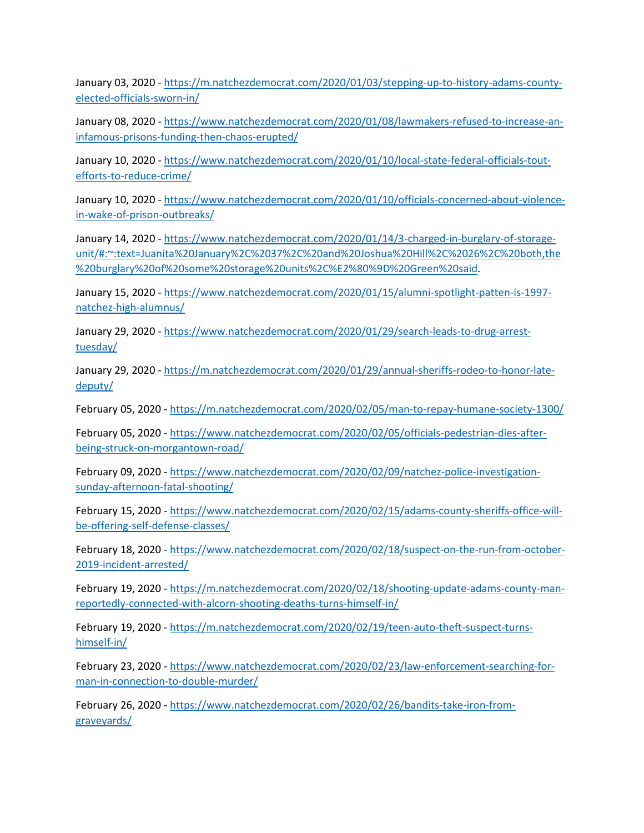January 03, 2020 - [https://m.natchezdemocrat.com/2020/01/03/stepping-up-to-history-adams-county](https://m.natchezdemocrat.com/2020/01/03/stepping-up-to-history-adams-county-elected-officials-sworn-in/)[elected-officials-sworn-in/](https://m.natchezdemocrat.com/2020/01/03/stepping-up-to-history-adams-county-elected-officials-sworn-in/)

January 08, 2020 - [https://www.natchezdemocrat.com/2020/01/08/lawmakers-refused-to-increase-an](https://www.natchezdemocrat.com/2020/01/08/lawmakers-refused-to-increase-an-infamous-prisons-funding-then-chaos-erupted/)[infamous-prisons-funding-then-chaos-erupted/](https://www.natchezdemocrat.com/2020/01/08/lawmakers-refused-to-increase-an-infamous-prisons-funding-then-chaos-erupted/)

January 10, 2020 - [https://www.natchezdemocrat.com/2020/01/10/local-state-federal-officials-tout](https://www.natchezdemocrat.com/2020/01/10/local-state-federal-officials-tout-efforts-to-reduce-crime/)[efforts-to-reduce-crime/](https://www.natchezdemocrat.com/2020/01/10/local-state-federal-officials-tout-efforts-to-reduce-crime/)

January 10, 2020 - [https://www.natchezdemocrat.com/2020/01/10/officials-concerned-about-violence](https://www.natchezdemocrat.com/2020/01/10/officials-concerned-about-violence-in-wake-of-prison-outbreaks/)[in-wake-of-prison-outbreaks/](https://www.natchezdemocrat.com/2020/01/10/officials-concerned-about-violence-in-wake-of-prison-outbreaks/)

January 14, 2020 - [https://www.natchezdemocrat.com/2020/01/14/3-charged-in-burglary-of-storage](https://www.natchezdemocrat.com/2020/01/14/3-charged-in-burglary-of-storage-unit/#:%7E:text=Juanita%20January%2C%2037%2C%20and%20Joshua%20Hill%2C%2026%2C%20both,the%20burglary%20of%20some%20storage%20units%2C%E2%80%9D%20Green%20said)[unit/#:~:text=Juanita%20January%2C%2037%2C%20and%20Joshua%20Hill%2C%2026%2C%20both,the](https://www.natchezdemocrat.com/2020/01/14/3-charged-in-burglary-of-storage-unit/#:%7E:text=Juanita%20January%2C%2037%2C%20and%20Joshua%20Hill%2C%2026%2C%20both,the%20burglary%20of%20some%20storage%20units%2C%E2%80%9D%20Green%20said) [%20burglary%20of%20some%20storage%20units%2C%E2%80%9D%20Green%20said.](https://www.natchezdemocrat.com/2020/01/14/3-charged-in-burglary-of-storage-unit/#:%7E:text=Juanita%20January%2C%2037%2C%20and%20Joshua%20Hill%2C%2026%2C%20both,the%20burglary%20of%20some%20storage%20units%2C%E2%80%9D%20Green%20said)

January 15, 2020 - [https://www.natchezdemocrat.com/2020/01/15/alumni-spotlight-patten-is-1997](https://www.natchezdemocrat.com/2020/01/15/alumni-spotlight-patten-is-1997-natchez-high-alumnus/) [natchez-high-alumnus/](https://www.natchezdemocrat.com/2020/01/15/alumni-spotlight-patten-is-1997-natchez-high-alumnus/)

January 29, 2020 - [https://www.natchezdemocrat.com/2020/01/29/search-leads-to-drug-arrest](https://www.natchezdemocrat.com/2020/01/29/search-leads-to-drug-arrest-tuesday/)[tuesday/](https://www.natchezdemocrat.com/2020/01/29/search-leads-to-drug-arrest-tuesday/)

January 29, 2020 - [https://m.natchezdemocrat.com/2020/01/29/annual-sheriffs-rodeo-to-honor-late](https://m.natchezdemocrat.com/2020/01/29/annual-sheriffs-rodeo-to-honor-late-deputy/)[deputy/](https://m.natchezdemocrat.com/2020/01/29/annual-sheriffs-rodeo-to-honor-late-deputy/)

February 05, 2020 - <https://m.natchezdemocrat.com/2020/02/05/man-to-repay-humane-society-1300/>

February 05, 2020 - [https://www.natchezdemocrat.com/2020/02/05/officials-pedestrian-dies-after](https://www.natchezdemocrat.com/2020/02/05/officials-pedestrian-dies-after-being-struck-on-morgantown-road/)[being-struck-on-morgantown-road/](https://www.natchezdemocrat.com/2020/02/05/officials-pedestrian-dies-after-being-struck-on-morgantown-road/)

February 09, 2020 - [https://www.natchezdemocrat.com/2020/02/09/natchez-police-investigation](https://www.natchezdemocrat.com/2020/02/09/natchez-police-investigation-sunday-afternoon-fatal-shooting/)[sunday-afternoon-fatal-shooting/](https://www.natchezdemocrat.com/2020/02/09/natchez-police-investigation-sunday-afternoon-fatal-shooting/)

February 15, 2020 - [https://www.natchezdemocrat.com/2020/02/15/adams-county-sheriffs-office-will](https://www.natchezdemocrat.com/2020/02/15/adams-county-sheriffs-office-will-be-offering-self-defense-classes/)[be-offering-self-defense-classes/](https://www.natchezdemocrat.com/2020/02/15/adams-county-sheriffs-office-will-be-offering-self-defense-classes/)

February 18, 2020 - [https://www.natchezdemocrat.com/2020/02/18/suspect-on-the-run-from-october-](https://www.natchezdemocrat.com/2020/02/18/suspect-on-the-run-from-october-2019-incident-arrested/)[2019-incident-arrested/](https://www.natchezdemocrat.com/2020/02/18/suspect-on-the-run-from-october-2019-incident-arrested/)

February 19, 2020 - [https://m.natchezdemocrat.com/2020/02/18/shooting-update-adams-county-man](https://m.natchezdemocrat.com/2020/02/18/shooting-update-adams-county-man-reportedly-connected-with-alcorn-shooting-deaths-turns-himself-in/)[reportedly-connected-with-alcorn-shooting-deaths-turns-himself-in/](https://m.natchezdemocrat.com/2020/02/18/shooting-update-adams-county-man-reportedly-connected-with-alcorn-shooting-deaths-turns-himself-in/)

February 19, 2020 - [https://m.natchezdemocrat.com/2020/02/19/teen-auto-theft-suspect-turns](https://m.natchezdemocrat.com/2020/02/19/teen-auto-theft-suspect-turns-himself-in/)[himself-in/](https://m.natchezdemocrat.com/2020/02/19/teen-auto-theft-suspect-turns-himself-in/)

February 23, 2020 - [https://www.natchezdemocrat.com/2020/02/23/law-enforcement-searching-for](https://www.natchezdemocrat.com/2020/02/23/law-enforcement-searching-for-man-in-connection-to-double-murder/)[man-in-connection-to-double-murder/](https://www.natchezdemocrat.com/2020/02/23/law-enforcement-searching-for-man-in-connection-to-double-murder/)

February 26, 2020 - [https://www.natchezdemocrat.com/2020/02/26/bandits-take-iron-from](https://www.natchezdemocrat.com/2020/02/26/bandits-take-iron-from-graveyards/)[graveyards/](https://www.natchezdemocrat.com/2020/02/26/bandits-take-iron-from-graveyards/)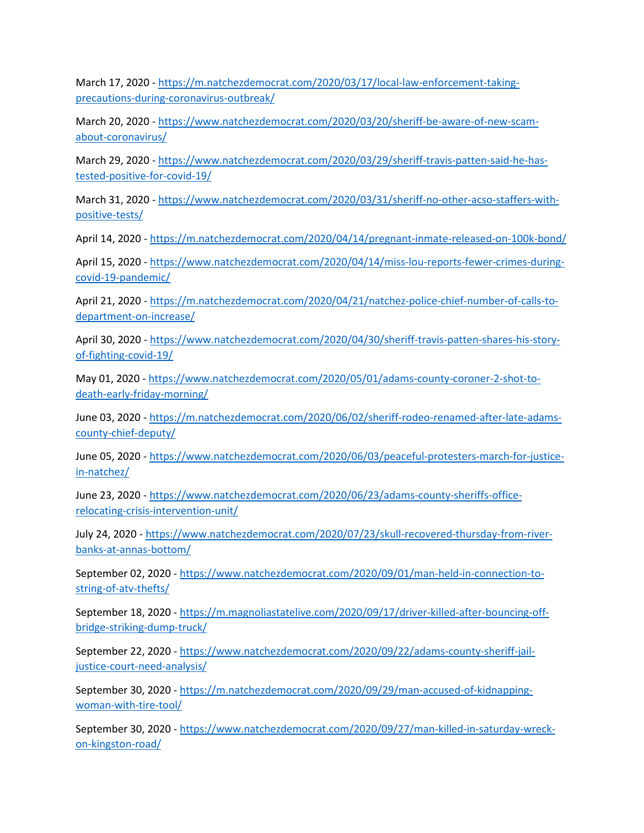March 17, 2020 - [https://m.natchezdemocrat.com/2020/03/17/local-law-enforcement-taking](https://m.natchezdemocrat.com/2020/03/17/local-law-enforcement-taking-precautions-during-coronavirus-outbreak/)[precautions-during-coronavirus-outbreak/](https://m.natchezdemocrat.com/2020/03/17/local-law-enforcement-taking-precautions-during-coronavirus-outbreak/)

March 20, 2020 - [https://www.natchezdemocrat.com/2020/03/20/sheriff-be-aware-of-new-scam](https://www.natchezdemocrat.com/2020/03/20/sheriff-be-aware-of-new-scam-about-coronavirus/)[about-coronavirus/](https://www.natchezdemocrat.com/2020/03/20/sheriff-be-aware-of-new-scam-about-coronavirus/)

March 29, 2020 - [https://www.natchezdemocrat.com/2020/03/29/sheriff-travis-patten-said-he-has](https://www.natchezdemocrat.com/2020/03/29/sheriff-travis-patten-said-he-has-tested-positive-for-covid-19/)[tested-positive-for-covid-19/](https://www.natchezdemocrat.com/2020/03/29/sheriff-travis-patten-said-he-has-tested-positive-for-covid-19/)

March 31, 2020 - [https://www.natchezdemocrat.com/2020/03/31/sheriff-no-other-acso-staffers-with](https://www.natchezdemocrat.com/2020/03/31/sheriff-no-other-acso-staffers-with-positive-tests/)[positive-tests/](https://www.natchezdemocrat.com/2020/03/31/sheriff-no-other-acso-staffers-with-positive-tests/)

April 14, 2020 - <https://m.natchezdemocrat.com/2020/04/14/pregnant-inmate-released-on-100k-bond/>

April 15, 2020 - [https://www.natchezdemocrat.com/2020/04/14/miss-lou-reports-fewer-crimes-during](https://www.natchezdemocrat.com/2020/04/14/miss-lou-reports-fewer-crimes-during-covid-19-pandemic/)[covid-19-pandemic/](https://www.natchezdemocrat.com/2020/04/14/miss-lou-reports-fewer-crimes-during-covid-19-pandemic/)

April 21, 2020 - [https://m.natchezdemocrat.com/2020/04/21/natchez-police-chief-number-of-calls-to](https://m.natchezdemocrat.com/2020/04/21/natchez-police-chief-number-of-calls-to-department-on-increase/)[department-on-increase/](https://m.natchezdemocrat.com/2020/04/21/natchez-police-chief-number-of-calls-to-department-on-increase/)

April 30, 2020 - [https://www.natchezdemocrat.com/2020/04/30/sheriff-travis-patten-shares-his-story](https://www.natchezdemocrat.com/2020/04/30/sheriff-travis-patten-shares-his-story-of-fighting-covid-19/)[of-fighting-covid-19/](https://www.natchezdemocrat.com/2020/04/30/sheriff-travis-patten-shares-his-story-of-fighting-covid-19/)

May 01, 2020 - [https://www.natchezdemocrat.com/2020/05/01/adams-county-coroner-2-shot-to](https://www.natchezdemocrat.com/2020/05/01/adams-county-coroner-2-shot-to-death-early-friday-morning/)[death-early-friday-morning/](https://www.natchezdemocrat.com/2020/05/01/adams-county-coroner-2-shot-to-death-early-friday-morning/)

June 03, 2020 - [https://m.natchezdemocrat.com/2020/06/02/sheriff-rodeo-renamed-after-late-adams](https://m.natchezdemocrat.com/2020/06/02/sheriff-rodeo-renamed-after-late-adams-county-chief-deputy/)[county-chief-deputy/](https://m.natchezdemocrat.com/2020/06/02/sheriff-rodeo-renamed-after-late-adams-county-chief-deputy/)

June 05, 2020 - [https://www.natchezdemocrat.com/2020/06/03/peaceful-protesters-march-for-justice](https://www.natchezdemocrat.com/2020/06/03/peaceful-protesters-march-for-justice-in-natchez/)[in-natchez/](https://www.natchezdemocrat.com/2020/06/03/peaceful-protesters-march-for-justice-in-natchez/)

June 23, 2020 - [https://www.natchezdemocrat.com/2020/06/23/adams-county-sheriffs-office](https://www.natchezdemocrat.com/2020/06/23/adams-county-sheriffs-office-relocating-crisis-intervention-unit/)[relocating-crisis-intervention-unit/](https://www.natchezdemocrat.com/2020/06/23/adams-county-sheriffs-office-relocating-crisis-intervention-unit/)

July 24, 2020 - [https://www.natchezdemocrat.com/2020/07/23/skull-recovered-thursday-from-river](https://www.natchezdemocrat.com/2020/07/23/skull-recovered-thursday-from-river-banks-at-annas-bottom/)[banks-at-annas-bottom/](https://www.natchezdemocrat.com/2020/07/23/skull-recovered-thursday-from-river-banks-at-annas-bottom/)

September 02, 2020 - [https://www.natchezdemocrat.com/2020/09/01/man-held-in-connection-to](https://www.natchezdemocrat.com/2020/09/01/man-held-in-connection-to-string-of-atv-thefts/)[string-of-atv-thefts/](https://www.natchezdemocrat.com/2020/09/01/man-held-in-connection-to-string-of-atv-thefts/)

September 18, 2020 - [https://m.magnoliastatelive.com/2020/09/17/driver-killed-after-bouncing-off](https://m.magnoliastatelive.com/2020/09/17/driver-killed-after-bouncing-off-bridge-striking-dump-truck/)[bridge-striking-dump-truck/](https://m.magnoliastatelive.com/2020/09/17/driver-killed-after-bouncing-off-bridge-striking-dump-truck/)

September 22, 2020 - [https://www.natchezdemocrat.com/2020/09/22/adams-county-sheriff-jail](https://www.natchezdemocrat.com/2020/09/22/adams-county-sheriff-jail-justice-court-need-analysis/)[justice-court-need-analysis/](https://www.natchezdemocrat.com/2020/09/22/adams-county-sheriff-jail-justice-court-need-analysis/)

September 30, 2020 - [https://m.natchezdemocrat.com/2020/09/29/man-accused-of-kidnapping](https://m.natchezdemocrat.com/2020/09/29/man-accused-of-kidnapping-woman-with-tire-tool/)[woman-with-tire-tool/](https://m.natchezdemocrat.com/2020/09/29/man-accused-of-kidnapping-woman-with-tire-tool/)

September 30, 2020 - [https://www.natchezdemocrat.com/2020/09/27/man-killed-in-saturday-wreck](https://www.natchezdemocrat.com/2020/09/27/man-killed-in-saturday-wreck-on-kingston-road/)[on-kingston-road/](https://www.natchezdemocrat.com/2020/09/27/man-killed-in-saturday-wreck-on-kingston-road/)